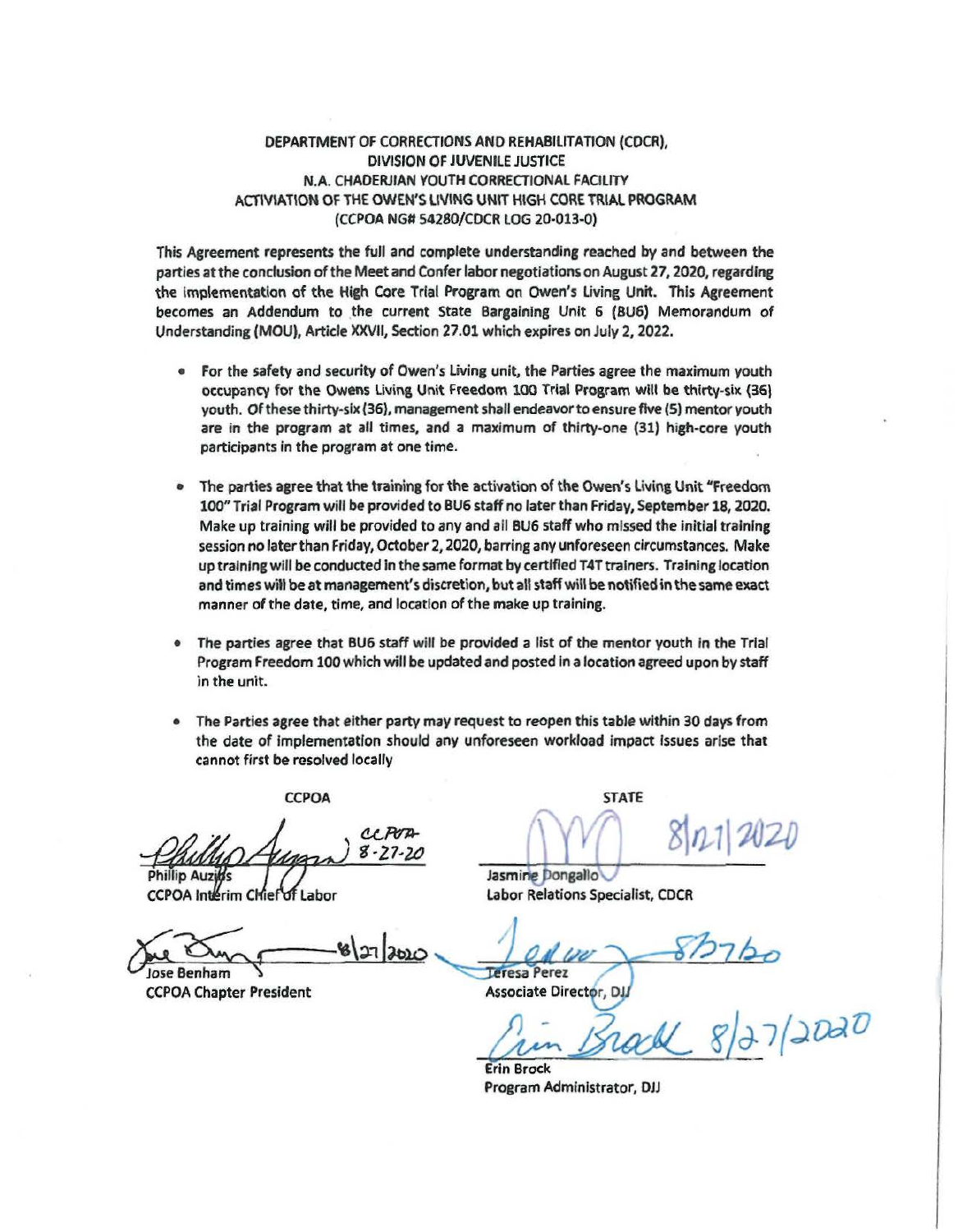## DEPARTMENT OF CORRECTIONS AND REHABILITATION (CDCR), DIVISION OF JUVENILE JUSTICE N.A. CHAOERJIAN YOUTH CORRECTIONAL FACILITY ACTIVIAT\ON OF THE OWEN'S LIVING UNIT HIGH CORE TRIAL **PROGRAM**  (CCPOA NG# 54280/COCR LOG 20-013-0)

This Agreement represents the full and complete understanding reached by and between the parties atthe conclusion ofthe Meetand Confer labor negotiations on August 27, 2020, regarding the implementation of the High Core Trial Program on Owen's Living Unit. This Agreement becomes an Addendum to the current State Bargaining Unit 6 (BU6) Memorandum of Understanding (MOU), Article XXVII, Section 27 .01 which expires on July 2, 2022.

- For the safety and security of Owen's living unit, the Parties agree the maximum youth occupancy for the Owens Living Unit Freedom 100 Trial Program wilt be thirty-six (36\ youth. Of these thirty-six (36), management shall endeavor to ensure five (5) mentor youth are in the program at all times, and a maximum of thirty-one (31) high-core youth participants in the program at *one* time.
- The parties agree that the training for the activation of the Owen's Living Unit "Freedom 100" Trial Program will be provided to BU6 staff no later than Friday, September 18, 2020. Make up training will be provided to any and all BU6 staff who missed the initial training session no later than Friday, October 2, 2020, barring any unforeseen circumstances. Make up training will be conducted in the same format by certified T4T trainers. Training location and times will be at management's discretion, but all staff will be notified in the same exact manner of the date, time, and location of the make up training.
- The parties agree that BU6 staff will be provided a list of the mentor youth in the Trial Program Freedom 100which will be updated and posted In a location agreed upon by staff in the unit.
- The Parties agree that either party may request to reopen this table within 30 days from the date of Implementation should any unforeseen workload impact Issues arise that cannot first be resolved locally

CCPOA STATE

CC POD  $8 - 77 - 2$ 

CCPOA Interim Chief of Labor

 $\frac{1}{\frac{1}{\text{g}}\left(\frac{1}{\text{g}}\right)}$   $\frac{1}{\frac{1}{\text{g}}\left(\frac{1}{\text{g}}\right)}$   $\frac{1}{\frac{1}{\text{g}}\left(\frac{1}{\text{g}}\right)}$   $\frac{1}{\frac{1}{\text{g}}\left(\frac{1}{\text{g}}\right)}$   $\frac{1}{\frac{1}{\text{g}}\left(\frac{1}{\text{g}}\right)}$   $\frac{1}{\frac{1}{\text{g}}\left(\frac{1}{\text{g}}\right)}$  $-61274000$ 

CCPOA Chapter President

~ ! *~/J,* 7I *J-02iJ* 

Jasmine Dongallo Labor Relations Specialist, CDCR

Defessioners<br>Associate Director, D.W.<br>*Crim Brack* 8/27/2020  $\frac{1}{2}$ 

Erin Brock Prograrn Administrator, DJJ